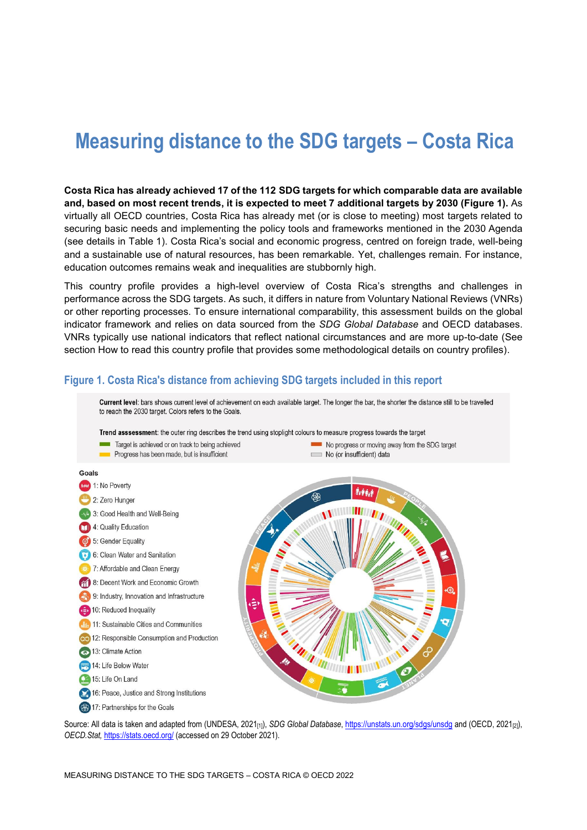# **Measuring distance to the SDG targets – Costa Rica**

**Costa Rica has already achieved 17 of the 112 SDG targets for which comparable data are available and, based on most recent trends, it is expected to meet 7 additional targets by 2030 [\(Figure](#page-0-0) 1).** As virtually all OECD countries, Costa Rica has already met (or is close to meeting) most targets related to securing basic needs and implementing the policy tools and frameworks mentioned in the 2030 Agenda (see details in [Table](#page-3-0) 1). Costa Rica's social and economic progress, centred on foreign trade, well-being and a sustainable use of natural resources, has been remarkable. Yet, challenges remain. For instance, education outcomes remains weak and inequalities are stubbornly high.

This country profile provides a high-level overview of Costa Rica's strengths and challenges in performance across the SDG targets. As such, it differs in nature from Voluntary National Reviews (VNRs) or other reporting processes. To ensure international comparability, this assessment builds on the global indicator framework and relies on data sourced from the *SDG Global Database* and OECD databases. VNRs typically use national indicators that reflect national circumstances and are more up-to-date (See section [How to read this country profile](#page-7-0) that provides some methodological details on country profiles).

<span id="page-0-0"></span>

Source: All data is taken and adapted from (UNDESA, 2021<sub>[1]</sub>), *SDG Global Database*[, https://unstats.un.org/sdgs/unsdg](https://unstats.un.org/sdgs/unsdg) and (OECD, 2021<sub>[2]</sub>), *OECD.Stat,* <https://stats.oecd.org/> (accessed on 29 October 2021).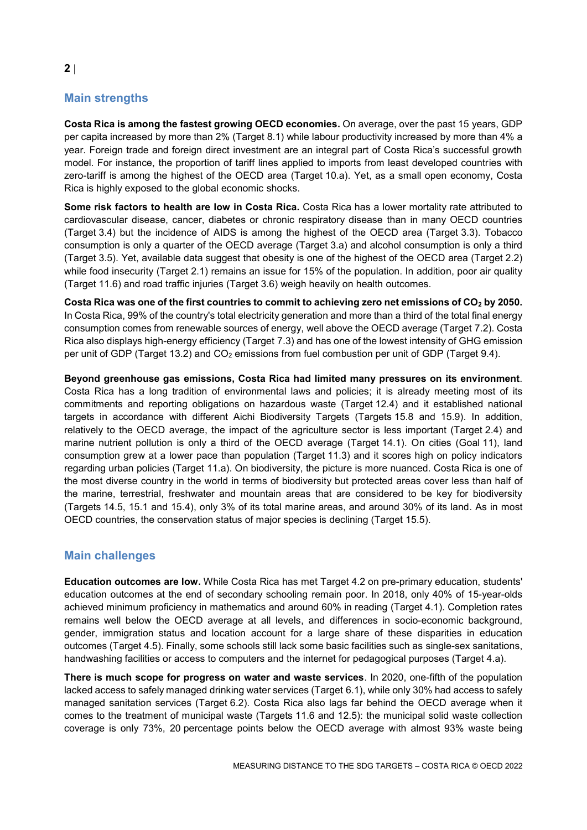# **Main strengths**

**Costa Rica is among the fastest growing OECD economies.** On average, over the past 15 years, GDP per capita increased by more than 2% (Target 8.1) while labour productivity increased by more than 4% a year. Foreign trade and foreign direct investment are an integral part of Costa Rica's successful growth model. For instance, the proportion of tariff lines applied to imports from least developed countries with zero-tariff is among the highest of the OECD area (Target 10.a). Yet, as a small open economy, Costa Rica is highly exposed to the global economic shocks.

**Some risk factors to health are low in Costa Rica.** Costa Rica has a lower mortality rate attributed to cardiovascular disease, cancer, diabetes or chronic respiratory disease than in many OECD countries (Target 3.4) but the incidence of AIDS is among the highest of the OECD area (Target 3.3). Tobacco consumption is only a quarter of the OECD average (Target 3.a) and alcohol consumption is only a third (Target 3.5). Yet, available data suggest that obesity is one of the highest of the OECD area (Target 2.2) while food insecurity (Target 2.1) remains an issue for 15% of the population. In addition, poor air quality (Target 11.6) and road traffic injuries (Target 3.6) weigh heavily on health outcomes.

**Costa Rica was one of the first countries to commit to achieving zero net emissions of CO<sup>2</sup> by 2050.** In Costa Rica, 99% of the country's total electricity generation and more than a third of the total final energy consumption comes from renewable sources of energy, well above the OECD average (Target 7.2). Costa Rica also displays high-energy efficiency (Target 7.3) and has one of the lowest intensity of GHG emission per unit of GDP (Target 13.2) and  $CO<sub>2</sub>$  emissions from fuel combustion per unit of GDP (Target 9.4).

**Beyond greenhouse gas emissions, Costa Rica had limited many pressures on its environment**. Costa Rica has a long tradition of environmental laws and policies; it is already meeting most of its commitments and reporting obligations on hazardous waste (Target 12.4) and it established national targets in accordance with different Aichi Biodiversity Targets (Targets 15.8 and 15.9). In addition, relatively to the OECD average, the impact of the agriculture sector is less important (Target 2.4) and marine nutrient pollution is only a third of the OECD average (Target 14.1). On cities (Goal 11), land consumption grew at a lower pace than population (Target 11.3) and it scores high on policy indicators regarding urban policies (Target 11.a). On biodiversity, the picture is more nuanced. Costa Rica is one of the most diverse country in the world in terms of biodiversity but protected areas cover less than half of the marine, terrestrial, freshwater and mountain areas that are considered to be key for biodiversity (Targets 14.5, 15.1 and 15.4), only 3% of its total marine areas, and around 30% of its land. As in most OECD countries, the conservation status of major species is declining (Target 15.5).

## **Main challenges**

**Education outcomes are low.** While Costa Rica has met Target 4.2 on pre-primary education, students' education outcomes at the end of secondary schooling remain poor. In 2018, only 40% of 15-year-olds achieved minimum proficiency in mathematics and around 60% in reading (Target 4.1). Completion rates remains well below the OECD average at all levels, and differences in socio-economic background, gender, immigration status and location account for a large share of these disparities in education outcomes (Target 4.5). Finally, some schools still lack some basic facilities such as single-sex sanitations, handwashing facilities or access to computers and the internet for pedagogical purposes (Target 4.a).

**There is much scope for progress on water and waste services**. In 2020, one-fifth of the population lacked access to safely managed drinking water services (Target 6.1), while only 30% had access to safely managed sanitation services (Target 6.2). Costa Rica also lags far behind the OECD average when it comes to the treatment of municipal waste (Targets 11.6 and 12.5): the municipal solid waste collection coverage is only 73%, 20 percentage points below the OECD average with almost 93% waste being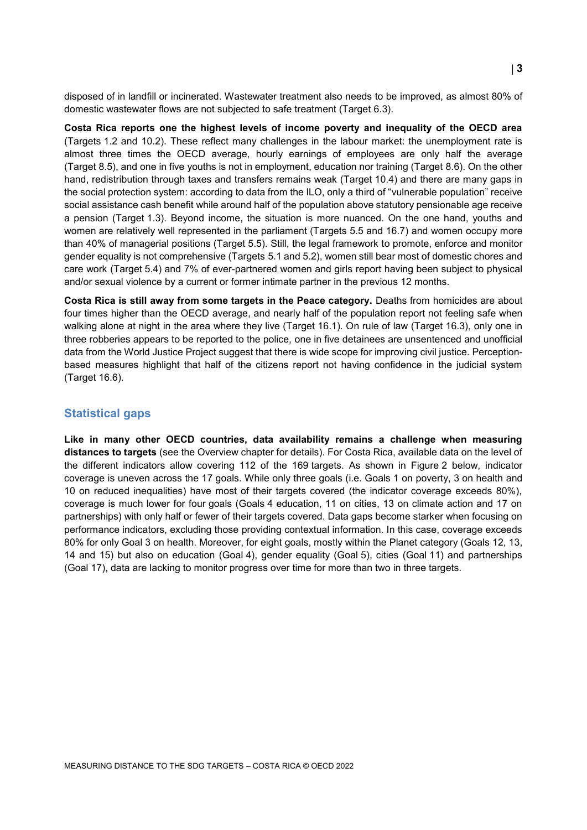disposed of in landfill or incinerated. Wastewater treatment also needs to be improved, as almost 80% of domestic wastewater flows are not subjected to safe treatment (Target 6.3).

**Costa Rica reports one the highest levels of income poverty and inequality of the OECD area** (Targets 1.2 and 10.2). These reflect many challenges in the labour market: the unemployment rate is almost three times the OECD average, hourly earnings of employees are only half the average (Target 8.5), and one in five youths is not in employment, education nor training (Target 8.6). On the other hand, redistribution through taxes and transfers remains weak (Target 10.4) and there are many gaps in the social protection system: according to data from the ILO, only a third of "vulnerable population" receive social assistance cash benefit while around half of the population above statutory pensionable age receive a pension (Target 1.3). Beyond income, the situation is more nuanced. On the one hand, youths and women are relatively well represented in the parliament (Targets 5.5 and 16.7) and women occupy more than 40% of managerial positions (Target 5.5). Still, the legal framework to promote, enforce and monitor gender equality is not comprehensive (Targets 5.1 and 5.2), women still bear most of domestic chores and care work (Target 5.4) and 7% of ever-partnered women and girls report having been subject to physical and/or sexual violence by a current or former intimate partner in the previous 12 months.

**Costa Rica is still away from some targets in the Peace category.** Deaths from homicides are about four times higher than the OECD average, and nearly half of the population report not feeling safe when walking alone at night in the area where they live (Target 16.1). On rule of law (Target 16.3), only one in three robberies appears to be reported to the police, one in five detainees are unsentenced and unofficial data from the World Justice Project suggest that there is wide scope for improving civil justice. Perceptionbased measures highlight that half of the citizens report not having confidence in the judicial system (Target 16.6).

### **Statistical gaps**

**Like in many other OECD countries, data availability remains a challenge when measuring distances to targets** (see the Overview chapter for details). For Costa Rica, available data on the level of the different indicators allow covering 112 of the 169 targets. As shown in [Figure](#page-3-1) 2 below, indicator coverage is uneven across the 17 goals. While only three goals (i.e. Goals 1 on poverty, 3 on health and 10 on reduced inequalities) have most of their targets covered (the indicator coverage exceeds 80%), coverage is much lower for four goals (Goals 4 education, 11 on cities, 13 on climate action and 17 on partnerships) with only half or fewer of their targets covered. Data gaps become starker when focusing on performance indicators, excluding those providing contextual information. In this case, coverage exceeds 80% for only Goal 3 on health. Moreover, for eight goals, mostly within the Planet category (Goals 12, 13, 14 and 15) but also on education (Goal 4), gender equality (Goal 5), cities (Goal 11) and partnerships (Goal 17), data are lacking to monitor progress over time for more than two in three targets.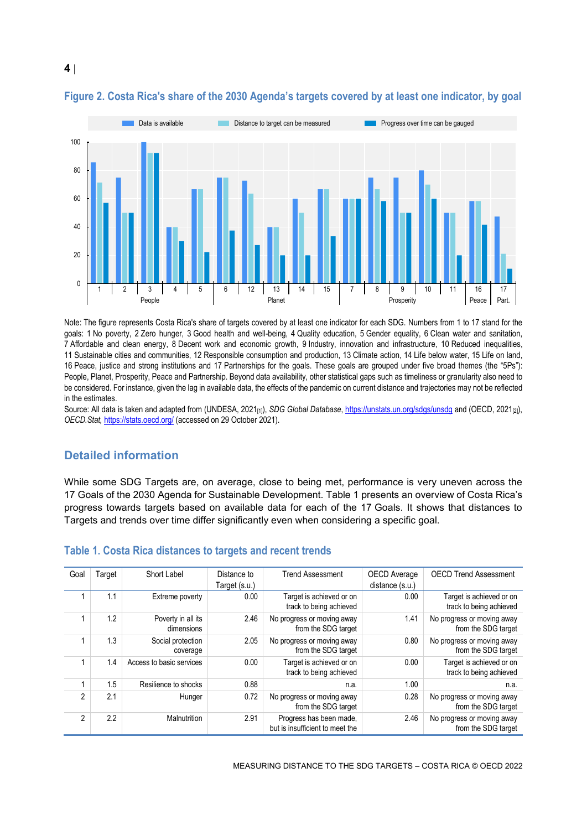

## <span id="page-3-1"></span>**Figure 2. Costa Rica's share of the 2030 Agenda's targets covered by at least one indicator, by goal**

Note: The figure represents Costa Rica's share of targets covered by at least one indicator for each SDG. Numbers from 1 to 17 stand for the goals: 1 No poverty, 2 Zero hunger, 3 Good health and well-being, 4 Quality education, 5 Gender equality, 6 Clean water and sanitation, 7 Affordable and clean energy, 8 Decent work and economic growth, 9 Industry, innovation and infrastructure, 10 Reduced inequalities, 11 Sustainable cities and communities, 12 Responsible consumption and production, 13 Climate action, 14 Life below water, 15 Life on land, 16 Peace, justice and strong institutions and 17 Partnerships for the goals. These goals are grouped under five broad themes (the "5Ps"): People, Planet, Prosperity, Peace and Partnership. Beyond data availability, other statistical gaps such as timeliness or granularity also need to be considered. For instance, given the lag in available data, the effects of the pandemic on current distance and trajectories may not be reflected in the estimates.

Source: All data is taken and adapted from (UNDESA, 2021<sub>[1]</sub>), *SDG Global Database*[, https://unstats.un.org/sdgs/unsdg](https://unstats.un.org/sdgs/unsdg) and (OECD, 2021<sub>[2]</sub>), *OECD.Stat,* <https://stats.oecd.org/> (accessed on 29 October 2021).

## **Detailed information**

While some SDG Targets are, on average, close to being met, performance is very uneven across the 17 Goals of the 2030 Agenda for Sustainable Development[. Table](#page-3-0) 1 presents an overview of Costa Rica's progress towards targets based on available data for each of the 17 Goals. It shows that distances to Targets and trends over time differ significantly even when considering a specific goal.

| Goal           | Target | Short Label                      | Distance to<br>Target (s.u.) | <b>Trend Assessment</b>                                    | <b>OECD</b> Average<br>distance (s.u.) | <b>OECD Trend Assessment</b>                        |
|----------------|--------|----------------------------------|------------------------------|------------------------------------------------------------|----------------------------------------|-----------------------------------------------------|
|                | 1.1    | Extreme poverty                  | 0.00                         | Target is achieved or on<br>track to being achieved        | 0.00                                   | Target is achieved or on<br>track to being achieved |
|                | 1.2    | Poverty in all its<br>dimensions | 2.46                         | No progress or moving away<br>from the SDG target          | 1.41                                   | No progress or moving away<br>from the SDG target   |
|                | 1.3    | Social protection<br>coverage    | 2.05                         | No progress or moving away<br>from the SDG target          | 0.80                                   | No progress or moving away<br>from the SDG target   |
|                | 1.4    | Access to basic services         | 0.00                         | Target is achieved or on<br>track to being achieved        | 0.00                                   | Target is achieved or on<br>track to being achieved |
|                | 1.5    | Resilience to shocks             | 0.88                         | n.a.                                                       | 1.00                                   | n.a.                                                |
| 2              | 2.1    | Hunger                           | 0.72                         | No progress or moving away<br>from the SDG target          | 0.28                                   | No progress or moving away<br>from the SDG target   |
| $\mathfrak{p}$ | 2.2    | Malnutrition                     | 2.91                         | Progress has been made,<br>but is insufficient to meet the | 2.46                                   | No progress or moving away<br>from the SDG target   |

#### <span id="page-3-0"></span>**Table 1. Costa Rica distances to targets and recent trends**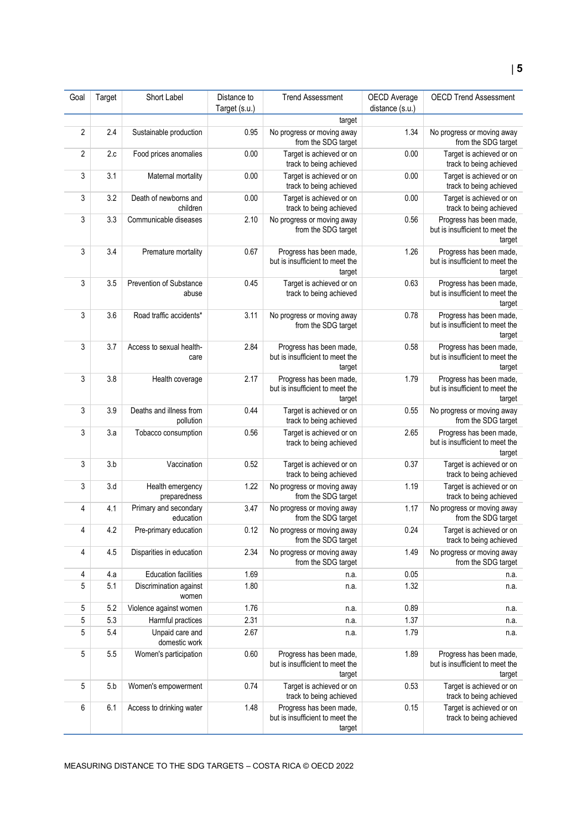| Goal | Target | Short Label                          | Distance to   | <b>Trend Assessment</b>                                              | OECD Average    | <b>OECD Trend Assessment</b>                                         |
|------|--------|--------------------------------------|---------------|----------------------------------------------------------------------|-----------------|----------------------------------------------------------------------|
|      |        |                                      | Target (s.u.) |                                                                      | distance (s.u.) |                                                                      |
|      |        |                                      |               | target                                                               |                 |                                                                      |
| 2    | 2.4    | Sustainable production               | 0.95          | No progress or moving away<br>from the SDG target                    | 1.34            | No progress or moving away<br>from the SDG target                    |
| 2    | 2.c    | Food prices anomalies                | 0.00          | Target is achieved or on<br>track to being achieved                  | 0.00            | Target is achieved or on<br>track to being achieved                  |
| 3    | 3.1    | Maternal mortality                   | 0.00          | Target is achieved or on<br>track to being achieved                  | 0.00            | Target is achieved or on<br>track to being achieved                  |
| 3    | 3.2    | Death of newborns and<br>children    | 0.00          | Target is achieved or on<br>track to being achieved                  | 0.00            | Target is achieved or on<br>track to being achieved                  |
| 3    | 3.3    | Communicable diseases                | 2.10          | No progress or moving away<br>from the SDG target                    | 0.56            | Progress has been made,<br>but is insufficient to meet the<br>target |
| 3    | 3.4    | Premature mortality                  | 0.67          | Progress has been made,<br>but is insufficient to meet the<br>target | 1.26            | Progress has been made,<br>but is insufficient to meet the<br>target |
| 3    | 3.5    | Prevention of Substance<br>abuse     | 0.45          | Target is achieved or on<br>track to being achieved                  | 0.63            | Progress has been made,<br>but is insufficient to meet the<br>target |
| 3    | 3.6    | Road traffic accidents*              | 3.11          | No progress or moving away<br>from the SDG target                    | 0.78            | Progress has been made,<br>but is insufficient to meet the<br>target |
| 3    | 3.7    | Access to sexual health-<br>care     | 2.84          | Progress has been made,<br>but is insufficient to meet the<br>target | 0.58            | Progress has been made,<br>but is insufficient to meet the<br>target |
| 3    | 3.8    | Health coverage                      | 2.17          | Progress has been made,<br>but is insufficient to meet the<br>target | 1.79            | Progress has been made,<br>but is insufficient to meet the<br>target |
| 3    | 3.9    | Deaths and illness from<br>pollution | 0.44          | Target is achieved or on<br>track to being achieved                  | 0.55            | No progress or moving away<br>from the SDG target                    |
| 3    | 3.a    | Tobacco consumption                  | 0.56          | Target is achieved or on<br>track to being achieved                  | 2.65            | Progress has been made,<br>but is insufficient to meet the<br>target |
| 3    | 3.b    | Vaccination                          | 0.52          | Target is achieved or on<br>track to being achieved                  | 0.37            | Target is achieved or on<br>track to being achieved                  |
| 3    | 3.d    | Health emergency<br>preparedness     | 1.22          | No progress or moving away<br>from the SDG target                    | 1.19            | Target is achieved or on<br>track to being achieved                  |
| 4    | 4.1    | Primary and secondary<br>education   | 3.47          | No progress or moving away<br>from the SDG target                    | 1.17            | No progress or moving away<br>from the SDG target                    |
| 4    | 4.2    | Pre-primary education                | 0.12          | No progress or moving away<br>from the SDG target                    | 0.24            | Target is achieved or on<br>track to being achieved                  |
| 4    | 4.5    | Disparities in education             | 2.34          | No progress or moving away<br>from the SDG target                    | 1.49            | No progress or moving away<br>from the SDG target                    |
| 4    | 4.a    | <b>Education facilities</b>          | 1.69          | n.a.                                                                 | 0.05            | n.a.                                                                 |
| 5    | 5.1    | Discrimination against<br>women      | 1.80          | n.a.                                                                 | 1.32            | n.a.                                                                 |
| 5    | 5.2    | Violence against women               | 1.76          | n.a.                                                                 | 0.89            | n.a.                                                                 |
| 5    | 5.3    | Harmful practices                    | 2.31          | n.a.                                                                 | 1.37            | n.a.                                                                 |
| 5    | 5.4    | Unpaid care and<br>domestic work     | 2.67          | n.a.                                                                 | 1.79            | n.a.                                                                 |
| 5    | 5.5    | Women's participation                | 0.60          | Progress has been made,<br>but is insufficient to meet the<br>target | 1.89            | Progress has been made,<br>but is insufficient to meet the<br>target |
| 5    | 5.b    | Women's empowerment                  | 0.74          | Target is achieved or on<br>track to being achieved                  | 0.53            | Target is achieved or on<br>track to being achieved                  |
| 6    | 6.1    | Access to drinking water             | 1.48          | Progress has been made,<br>but is insufficient to meet the<br>target | 0.15            | Target is achieved or on<br>track to being achieved                  |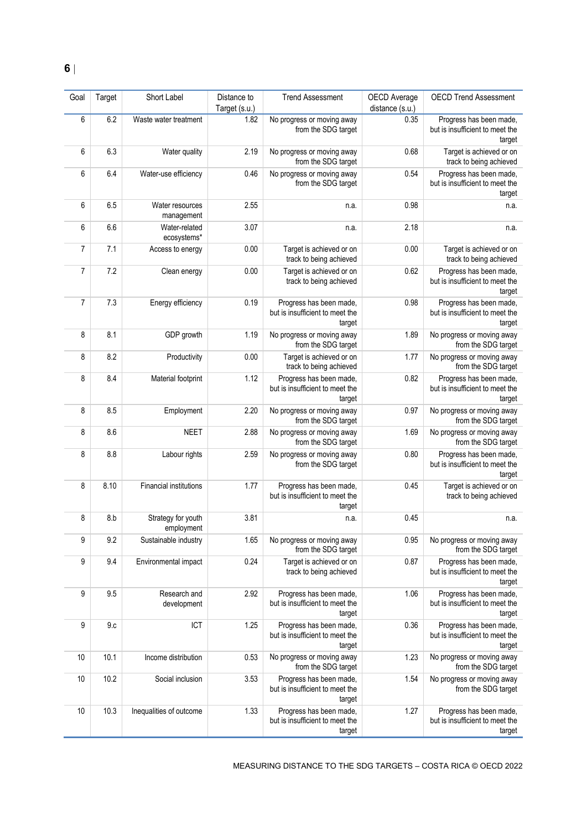| Goal           | Target | Short Label                      | Distance to<br>Target (s.u.) | <b>Trend Assessment</b>                                              | OECD Average<br>distance (s.u.) | <b>OECD Trend Assessment</b>                                         |
|----------------|--------|----------------------------------|------------------------------|----------------------------------------------------------------------|---------------------------------|----------------------------------------------------------------------|
| 6              | 6.2    | Waste water treatment            | 1.82                         | No progress or moving away<br>from the SDG target                    | 0.35                            | Progress has been made,<br>but is insufficient to meet the<br>target |
| 6              | 6.3    | Water quality                    | 2.19                         | No progress or moving away<br>from the SDG target                    | 0.68                            | Target is achieved or on<br>track to being achieved                  |
| 6              | 6.4    | Water-use efficiency             | 0.46                         | No progress or moving away<br>from the SDG target                    | 0.54                            | Progress has been made,<br>but is insufficient to meet the<br>target |
| 6              | 6.5    | Water resources<br>management    | 2.55                         | n.a.                                                                 | 0.98                            | n.a.                                                                 |
| 6              | 6.6    | Water-related<br>ecosystems*     | 3.07                         | n.a.                                                                 | 2.18                            | n.a.                                                                 |
| 7              | 7.1    | Access to energy                 | 0.00                         | Target is achieved or on<br>track to being achieved                  | 0.00                            | Target is achieved or on<br>track to being achieved                  |
| 7              | 7.2    | Clean energy                     | 0.00                         | Target is achieved or on<br>track to being achieved                  | 0.62                            | Progress has been made,<br>but is insufficient to meet the<br>target |
| $\overline{7}$ | 7.3    | Energy efficiency                | 0.19                         | Progress has been made,<br>but is insufficient to meet the<br>target | 0.98                            | Progress has been made,<br>but is insufficient to meet the<br>target |
| 8              | 8.1    | GDP growth                       | 1.19                         | No progress or moving away<br>from the SDG target                    | 1.89                            | No progress or moving away<br>from the SDG target                    |
| 8              | 8.2    | Productivity                     | 0.00                         | Target is achieved or on<br>track to being achieved                  | 1.77                            | No progress or moving away<br>from the SDG target                    |
| 8              | 8.4    | Material footprint               | 1.12                         | Progress has been made,<br>but is insufficient to meet the<br>target | 0.82                            | Progress has been made,<br>but is insufficient to meet the<br>target |
| 8              | 8.5    | Employment                       | 2.20                         | No progress or moving away<br>from the SDG target                    | 0.97                            | No progress or moving away<br>from the SDG target                    |
| 8              | 8.6    | <b>NEET</b>                      | 2.88                         | No progress or moving away<br>from the SDG target                    | 1.69                            | No progress or moving away<br>from the SDG target                    |
| 8              | 8.8    | Labour rights                    | 2.59                         | No progress or moving away<br>from the SDG target                    | 0.80                            | Progress has been made,<br>but is insufficient to meet the<br>target |
| 8              | 8.10   | Financial institutions           | 1.77                         | Progress has been made,<br>but is insufficient to meet the<br>target | 0.45                            | Target is achieved or on<br>track to being achieved                  |
| 8              | 8.b    | Strategy for youth<br>employment | 3.81                         | n.a.                                                                 | 0.45                            | n.a.                                                                 |
| 9              | 9.2    | Sustainable industry             | 1.65                         | No progress or moving away<br>from the SDG target                    | 0.95                            | No progress or moving away<br>from the SDG target                    |
| 9              | 9.4    | Environmental impact             | 0.24                         | Target is achieved or on<br>track to being achieved                  | 0.87                            | Progress has been made,<br>but is insufficient to meet the<br>target |
| 9              | 9.5    | Research and<br>development      | 2.92                         | Progress has been made,<br>but is insufficient to meet the<br>target | 1.06                            | Progress has been made,<br>but is insufficient to meet the<br>target |
| 9              | 9.c    | ICT                              | 1.25                         | Progress has been made,<br>but is insufficient to meet the<br>target | 0.36                            | Progress has been made,<br>but is insufficient to meet the<br>target |
| 10             | 10.1   | Income distribution              | 0.53                         | No progress or moving away<br>from the SDG target                    | 1.23                            | No progress or moving away<br>from the SDG target                    |
| 10             | 10.2   | Social inclusion                 | 3.53                         | Progress has been made,<br>but is insufficient to meet the<br>target | 1.54                            | No progress or moving away<br>from the SDG target                    |
| 10             | 10.3   | Inequalities of outcome          | 1.33                         | Progress has been made,<br>but is insufficient to meet the<br>target | 1.27                            | Progress has been made,<br>but is insufficient to meet the<br>target |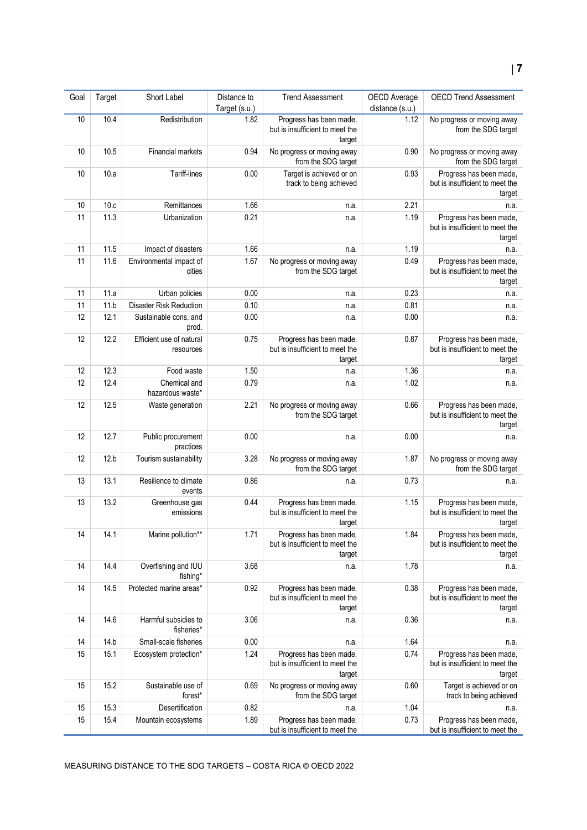| Goal | Target | Short Label                           | Distance to<br>Target (s.u.) | <b>Trend Assessment</b>                                              | OECD Average<br>distance (s.u.) | <b>OECD Trend Assessment</b>                                         |
|------|--------|---------------------------------------|------------------------------|----------------------------------------------------------------------|---------------------------------|----------------------------------------------------------------------|
| 10   | 10.4   | Redistribution                        | 1.82                         | Progress has been made,<br>but is insufficient to meet the<br>target | 1.12                            | No progress or moving away<br>from the SDG target                    |
| 10   | 10.5   | Financial markets                     | 0.94                         | No progress or moving away<br>from the SDG target                    | 0.90                            | No progress or moving away<br>from the SDG target                    |
| 10   | 10.a   | Tariff-lines                          | 0.00                         | Target is achieved or on<br>track to being achieved                  | 0.93                            | Progress has been made,<br>but is insufficient to meet the<br>target |
| 10   | 10.c   | Remittances                           | 1.66                         | n.a.                                                                 | 2.21                            | n.a.                                                                 |
| 11   | 11.3   | Urbanization                          | 0.21                         | n.a.                                                                 | 1.19                            | Progress has been made,<br>but is insufficient to meet the<br>target |
| 11   | 11.5   | Impact of disasters                   | 1.66                         | n.a.                                                                 | 1.19                            | n.a.                                                                 |
| 11   | 11.6   | Environmental impact of<br>cities     | 1.67                         | No progress or moving away<br>from the SDG target                    | 0.49                            | Progress has been made,<br>but is insufficient to meet the<br>target |
| 11   | 11.a   | Urban policies                        | 0.00                         | n.a.                                                                 | 0.23                            | n.a.                                                                 |
| 11   | 11.b   | <b>Disaster Risk Reduction</b>        | 0.10                         | n.a.                                                                 | 0.81                            | n.a.                                                                 |
| 12   | 12.1   | Sustainable cons. and<br>prod.        | 0.00                         | n.a.                                                                 | 0.00                            | n.a.                                                                 |
| 12   | 12.2   | Efficient use of natural<br>resources | 0.75                         | Progress has been made,<br>but is insufficient to meet the<br>target | 0.87                            | Progress has been made,<br>but is insufficient to meet the<br>target |
| 12   | 12.3   | Food waste                            | 1.50                         | n.a.                                                                 | 1.36                            | n.a.                                                                 |
| 12   | 12.4   | Chemical and<br>hazardous waste*      | 0.79                         | n.a.                                                                 | 1.02                            | n.a.                                                                 |
| 12   | 12.5   | Waste generation                      | 2.21                         | No progress or moving away<br>from the SDG target                    | 0.66                            | Progress has been made,<br>but is insufficient to meet the<br>target |
| 12   | 12.7   | Public procurement<br>practices       | 0.00                         | n.a.                                                                 | 0.00                            | n.a.                                                                 |
| 12   | 12.b   | Tourism sustainability                | 3.28                         | No progress or moving away<br>from the SDG target                    | 1.87                            | No progress or moving away<br>from the SDG target                    |
| 13   | 13.1   | Resilience to climate<br>events       | 0.86                         | n.a.                                                                 | 0.73                            | n.a.                                                                 |
| 13   | 13.2   | Greenhouse gas<br>emissions           | 0.44                         | Progress has been made,<br>but is insufficient to meet the<br>target | 1.15                            | Progress has been made,<br>but is insufficient to meet the<br>target |
| 14   | 14.1   | Marine pollution**                    | 1.71                         | Progress has been made,<br>but is insufficient to meet the<br>target | 1.84                            | Progress has been made,<br>but is insufficient to meet the<br>target |
| 14   | 14.4   | Overfishing and IUU<br>fishing*       | 3.68                         | n.a.                                                                 | 1.78                            | n.a.                                                                 |
| 14   | 14.5   | Protected marine areas*               | 0.92                         | Progress has been made,<br>but is insufficient to meet the<br>target | 0.38                            | Progress has been made,<br>but is insufficient to meet the<br>target |
| 14   | 14.6   | Harmful subsidies to<br>fisheries*    | 3.06                         | n.a.                                                                 | 0.36                            | n.a.                                                                 |
| 14   | 14.b   | Small-scale fisheries                 | 0.00                         | n.a.                                                                 | 1.64                            | n.a.                                                                 |
| 15   | 15.1   | Ecosystem protection*                 | 1.24                         | Progress has been made,<br>but is insufficient to meet the<br>target | 0.74                            | Progress has been made,<br>but is insufficient to meet the<br>target |
| 15   | 15.2   | Sustainable use of<br>forest*         | 0.69                         | No progress or moving away<br>from the SDG target                    | 0.60                            | Target is achieved or on<br>track to being achieved                  |
| 15   | 15.3   | Desertification                       | 0.82                         | n.a.                                                                 | 1.04                            | n.a.                                                                 |
| 15   | 15.4   | Mountain ecosystems                   | 1.89                         | Progress has been made,<br>but is insufficient to meet the           | 0.73                            | Progress has been made,<br>but is insufficient to meet the           |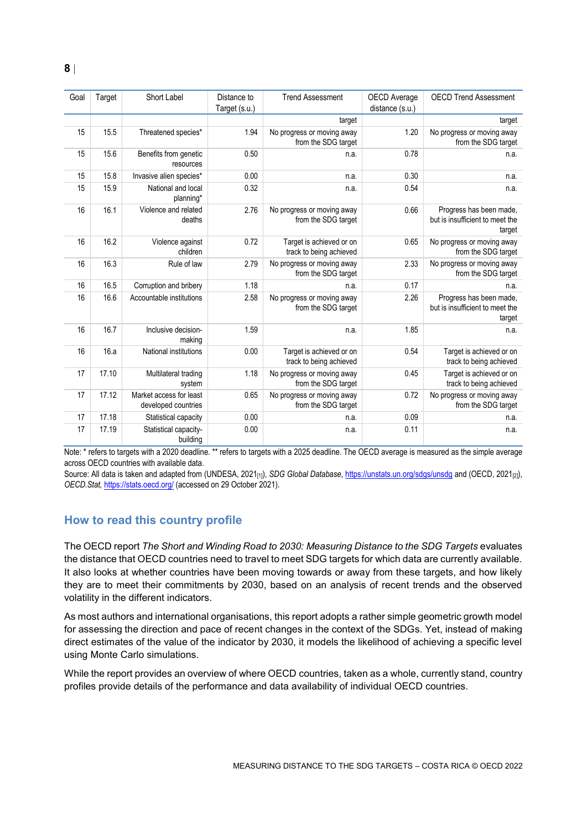| Goal | Target | Short Label                                    | Distance to   | <b>Trend Assessment</b>                             | OECD Average    | <b>OECD Trend Assessment</b>                                         |
|------|--------|------------------------------------------------|---------------|-----------------------------------------------------|-----------------|----------------------------------------------------------------------|
|      |        |                                                | Target (s.u.) |                                                     | distance (s.u.) |                                                                      |
|      |        |                                                |               | target                                              |                 | target                                                               |
| 15   | 15.5   | Threatened species*                            | 1.94          | No progress or moving away<br>from the SDG target   | 1.20            | No progress or moving away<br>from the SDG target                    |
| 15   | 15.6   | Benefits from genetic<br>resources             | 0.50          | n.a.                                                | 0.78            | n.a.                                                                 |
| 15   | 15.8   | Invasive alien species*                        | 0.00          | n.a.                                                | 0.30            | n.a.                                                                 |
| 15   | 15.9   | National and local<br>planning*                | 0.32          | n.a.                                                | 0.54            | n.a.                                                                 |
| 16   | 16.1   | Violence and related<br>deaths                 | 2.76          | No progress or moving away<br>from the SDG target   | 0.66            | Progress has been made,<br>but is insufficient to meet the<br>target |
| 16   | 16.2   | Violence against<br>children                   | 0.72          | Target is achieved or on<br>track to being achieved | 0.65            | No progress or moving away<br>from the SDG target                    |
| 16   | 16.3   | Rule of law                                    | 2.79          | No progress or moving away<br>from the SDG target   | 2.33            | No progress or moving away<br>from the SDG target                    |
| 16   | 16.5   | Corruption and bribery                         | 1.18          | n.a.                                                | 0.17            | n.a.                                                                 |
| 16   | 16.6   | Accountable institutions                       | 2.58          | No progress or moving away<br>from the SDG target   | 2.26            | Progress has been made,<br>but is insufficient to meet the<br>target |
| 16   | 16.7   | Inclusive decision-<br>making                  | 1.59          | n.a.                                                | 1.85            | n.a.                                                                 |
| 16   | 16.a   | National institutions                          | 0.00          | Target is achieved or on<br>track to being achieved | 0.54            | Target is achieved or on<br>track to being achieved                  |
| 17   | 17.10  | Multilateral trading<br>system                 | 1.18          | No progress or moving away<br>from the SDG target   | 0.45            | Target is achieved or on<br>track to being achieved                  |
| 17   | 17.12  | Market access for least<br>developed countries | 0.65          | No progress or moving away<br>from the SDG target   | 0.72            | No progress or moving away<br>from the SDG target                    |
| 17   | 17.18  | Statistical capacity                           | 0.00          | n.a.                                                | 0.09            | n.a.                                                                 |
| 17   | 17.19  | Statistical capacity-<br>building              | 0.00          | n.a.                                                | 0.11            | n.a.                                                                 |

Note: \* refers to targets with a 2020 deadline. \*\* refers to targets with a 2025 deadline. The OECD average is measured as the simple average across OECD countries with available data.

Source: All data is taken and adapted from (UNDESA, 2021<sub>[1]</sub>), *SDG Global Database*[, https://unstats.un.org/sdgs/unsdg](https://unstats.un.org/sdgs/unsdg) and (OECD, 2021<sub>[2]</sub>), *OECD.Stat,* <https://stats.oecd.org/> (accessed on 29 October 2021).

## <span id="page-7-0"></span>**How to read this country profile**

The OECD report *The Short and Winding Road to 2030: Measuring Distance to the SDG Targets* evaluates the distance that OECD countries need to travel to meet SDG targets for which data are currently available. It also looks at whether countries have been moving towards or away from these targets, and how likely they are to meet their commitments by 2030, based on an analysis of recent trends and the observed volatility in the different indicators.

As most authors and international organisations, this report adopts a rather simple geometric growth model for assessing the direction and pace of recent changes in the context of the SDGs. Yet, instead of making direct estimates of the value of the indicator by 2030, it models the likelihood of achieving a specific level using Monte Carlo simulations.

While the report provides an overview of where OECD countries, taken as a whole, currently stand, country profiles provide details of the performance and data availability of individual OECD countries.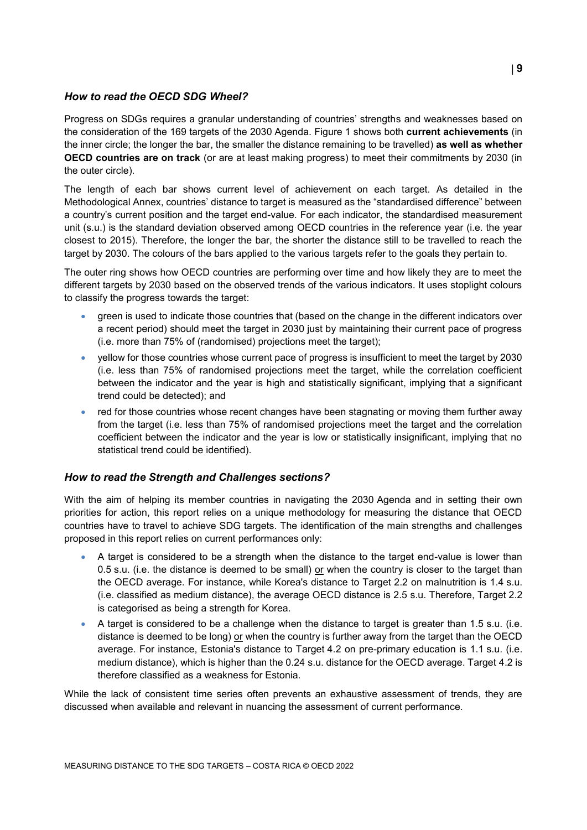#### *How to read the OECD SDG Wheel?*

Progress on SDGs requires a granular understanding of countries' strengths and weaknesses based on the consideration of the 169 targets of the 2030 Agenda. [Figure](#page-0-0) 1 shows both **current achievements** (in the inner circle; the longer the bar, the smaller the distance remaining to be travelled) **as well as whether OECD countries are on track** (or are at least making progress) to meet their commitments by 2030 (in the outer circle).

The length of each bar shows current level of achievement on each target. As detailed in the Methodological Annex, countries' distance to target is measured as the "standardised difference" between a country's current position and the target end-value. For each indicator, the standardised measurement unit (s.u.) is the standard deviation observed among OECD countries in the reference year (i.e. the year closest to 2015). Therefore, the longer the bar, the shorter the distance still to be travelled to reach the target by 2030. The colours of the bars applied to the various targets refer to the goals they pertain to.

The outer ring shows how OECD countries are performing over time and how likely they are to meet the different targets by 2030 based on the observed trends of the various indicators. It uses stoplight colours to classify the progress towards the target:

- green is used to indicate those countries that (based on the change in the different indicators over a recent period) should meet the target in 2030 just by maintaining their current pace of progress (i.e. more than 75% of (randomised) projections meet the target);
- yellow for those countries whose current pace of progress is insufficient to meet the target by 2030 (i.e. less than 75% of randomised projections meet the target, while the correlation coefficient between the indicator and the year is high and statistically significant, implying that a significant trend could be detected); and
- red for those countries whose recent changes have been stagnating or moving them further away from the target (i.e. less than 75% of randomised projections meet the target and the correlation coefficient between the indicator and the year is low or statistically insignificant, implying that no statistical trend could be identified).

#### *How to read the Strength and Challenges sections?*

With the aim of helping its member countries in navigating the 2030 Agenda and in setting their own priorities for action, this report relies on a unique methodology for measuring the distance that OECD countries have to travel to achieve SDG targets. The identification of the main strengths and challenges proposed in this report relies on current performances only:

- A target is considered to be a strength when the distance to the target end-value is lower than 0.5 s.u. (i.e. the distance is deemed to be small) or when the country is closer to the target than the OECD average. For instance, while Korea's distance to Target 2.2 on malnutrition is 1.4 s.u. (i.e. classified as medium distance), the average OECD distance is 2.5 s.u. Therefore, Target 2.2 is categorised as being a strength for Korea.
- A target is considered to be a challenge when the distance to target is greater than 1.5 s.u. (i.e. distance is deemed to be long) or when the country is further away from the target than the OECD average. For instance, Estonia's distance to Target 4.2 on pre-primary education is 1.1 s.u. (i.e. medium distance), which is higher than the 0.24 s.u. distance for the OECD average. Target 4.2 is therefore classified as a weakness for Estonia.

While the lack of consistent time series often prevents an exhaustive assessment of trends, they are discussed when available and relevant in nuancing the assessment of current performance.